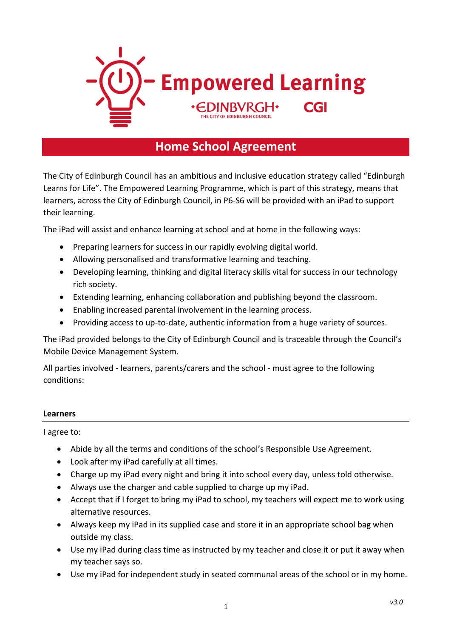

# **Home School Agreement**

The City of Edinburgh Council has an ambitious and inclusive education strategy called "Edinburgh Learns for Life". The Empowered Learning Programme, which is part of this strategy, means that learners, across the City of Edinburgh Council, in P6-S6 will be provided with an iPad to support their learning.

The iPad will assist and enhance learning at school and at home in the following ways:

- Preparing learners for success in our rapidly evolving digital world.
- Allowing personalised and transformative learning and teaching.
- Developing learning, thinking and digital literacy skills vital for success in our technology rich society.
- Extending learning, enhancing collaboration and publishing beyond the classroom.
- Enabling increased parental involvement in the learning process.
- Providing access to up-to-date, authentic information from a huge variety of sources.

The iPad provided belongs to the City of Edinburgh Council and is traceable through the Council's Mobile Device Management System.

All parties involved - learners, parents/carers and the school - must agree to the following conditions:

#### **Learners**

I agree to:

- Abide by all the terms and conditions of the school's Responsible Use Agreement.
- Look after my iPad carefully at all times.
- Charge up my iPad every night and bring it into school every day, unless told otherwise.
- Always use the charger and cable supplied to charge up my iPad.
- Accept that if I forget to bring my iPad to school, my teachers will expect me to work using alternative resources.
- Always keep my iPad in its supplied case and store it in an appropriate school bag when outside my class.
- Use my iPad during class time as instructed by my teacher and close it or put it away when my teacher says so.
- Use my iPad for independent study in seated communal areas of the school or in my home.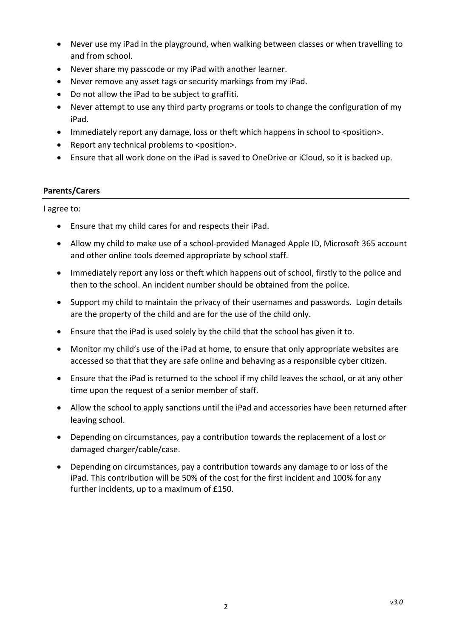- Never use my iPad in the playground, when walking between classes or when travelling to and from school.
- Never share my passcode or my iPad with another learner.
- Never remove any asset tags or security markings from my iPad.
- Do not allow the iPad to be subject to graffiti.
- Never attempt to use any third party programs or tools to change the configuration of my iPad.
- Immediately report any damage, loss or theft which happens in school to <position>.
- Report any technical problems to <position>.
- Ensure that all work done on the iPad is saved to OneDrive or iCloud, so it is backed up.

### **Parents/Carers**

I agree to:

- Ensure that my child cares for and respects their iPad.
- Allow my child to make use of a school-provided Managed Apple ID, Microsoft 365 account and other online tools deemed appropriate by school staff.
- Immediately report any loss or theft which happens out of school, firstly to the police and then to the school. An incident number should be obtained from the police.
- Support my child to maintain the privacy of their usernames and passwords. Login details are the property of the child and are for the use of the child only.
- Ensure that the iPad is used solely by the child that the school has given it to.
- Monitor my child's use of the iPad at home, to ensure that only appropriate websites are accessed so that that they are safe online and behaving as a responsible cyber citizen.
- Ensure that the iPad is returned to the school if my child leaves the school, or at any other time upon the request of a senior member of staff.
- Allow the school to apply sanctions until the iPad and accessories have been returned after leaving school.
- Depending on circumstances, pay a contribution towards the replacement of a lost or damaged charger/cable/case.
- Depending on circumstances, pay a contribution towards any damage to or loss of the iPad. This contribution will be 50% of the cost for the first incident and 100% for any further incidents, up to a maximum of £150.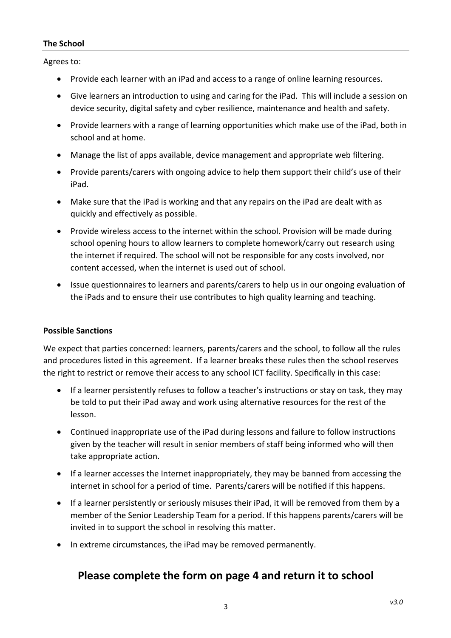### **The School**

Agrees to:

- Provide each learner with an iPad and access to a range of online learning resources.
- Give learners an introduction to using and caring for the iPad. This will include a session on device security, digital safety and cyber resilience, maintenance and health and safety.
- Provide learners with a range of learning opportunities which make use of the iPad, both in school and at home.
- Manage the list of apps available, device management and appropriate web filtering.
- Provide parents/carers with ongoing advice to help them support their child's use of their iPad.
- Make sure that the iPad is working and that any repairs on the iPad are dealt with as quickly and effectively as possible.
- Provide wireless access to the internet within the school. Provision will be made during school opening hours to allow learners to complete homework/carry out research using the internet if required. The school will not be responsible for any costs involved, nor content accessed, when the internet is used out of school.
- Issue questionnaires to learners and parents/carers to help us in our ongoing evaluation of the iPads and to ensure their use contributes to high quality learning and teaching.

### **Possible Sanctions**

We expect that parties concerned: learners, parents/carers and the school, to follow all the rules and procedures listed in this agreement. If a learner breaks these rules then the school reserves the right to restrict or remove their access to any school ICT facility. Specifically in this case:

- If a learner persistently refuses to follow a teacher's instructions or stay on task, they may be told to put their iPad away and work using alternative resources for the rest of the lesson.
- Continued inappropriate use of the iPad during lessons and failure to follow instructions given by the teacher will result in senior members of staff being informed who will then take appropriate action.
- If a learner accesses the Internet inappropriately, they may be banned from accessing the internet in school for a period of time. Parents/carers will be notified if this happens.
- If a learner persistently or seriously misuses their iPad, it will be removed from them by a member of the Senior Leadership Team for a period. If this happens parents/carers will be invited in to support the school in resolving this matter.
- In extreme circumstances, the iPad may be removed permanently.

## **Please complete the form on page 4 and return it to school**